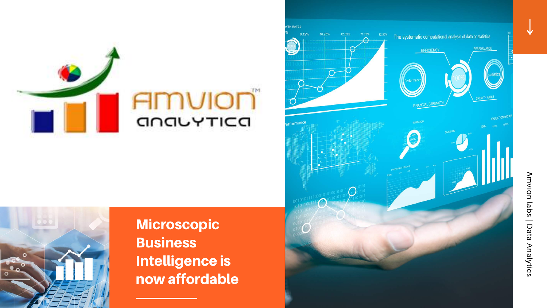

AMUION GOOVTICO

TH RATES

9.12%

18.25%



**Microscopic Business** Intelligence is now affordable



Amvion labs | Data Analytics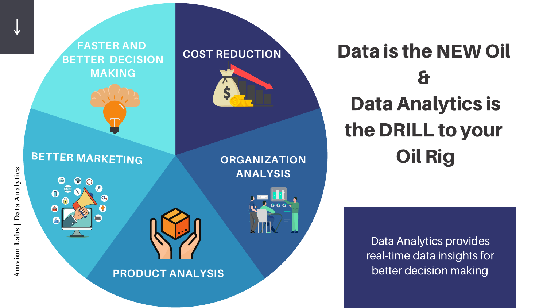# Data is the NEW Oil & Data Analytics is the DRILL to your Oil Rig

Data Analytics provides real-time data insights for better decision making

#### **COST REDUCTION**

#### **FASTER AND BETTER DECISION MAKING**



#### **BETTER MARKETING ORGANIZATION**

# $\mathbf{O}$







ທ

#### **PRODUCT ANALYSIS**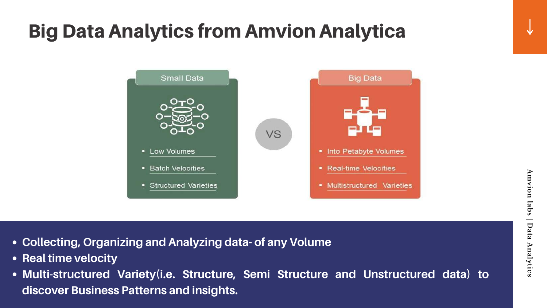# Big Data Analytics from Amvion Analytica



- **Collecting, Organizing and Analyzing data- of any Volume**
- **Real time velocity**
- **Multi-structured Variety(i.e. Structure, Semi Structure and Unstructured data) to discover Business Patterns and insights.**



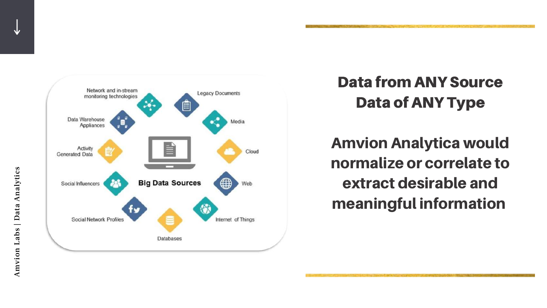

Amvion Labs | Data Analytics Amvion Labs | Data Analytics

# Data from ANY Source Data of ANY Type

### Amvion Analytica would normalize or correlate to extract desirable and meaningful information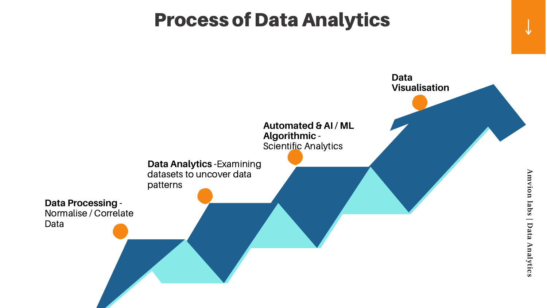# Process of Data Analytics

v i o  $\bf \Xi$ ہ<br>ھ  $\overline{\mathbf{u}}$  $\boldsymbol{\omega}$ |  $\overline{\mathsf{d}}$ a<br>a  $\blacktriangleright$  ${\bf \Xi}$ alytic

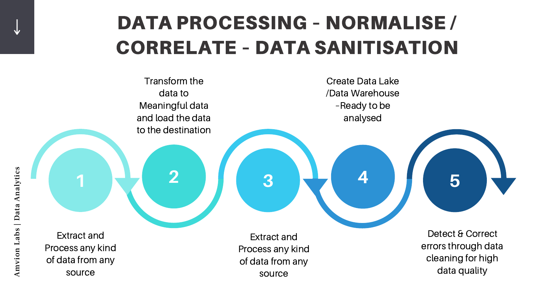

# DATA PROCESSING – NORMALISE / CORRELATE – DATA SANITISATION

Extract and Process any kind of data from any source

Extract and Process any kind of data from any source source source and the source of the source data quality

Transform the data to Meaningful data and load the data to the destination

 $\mathbf \omega$ ທ

Create Data Lake /Data Warehouse –Ready to be analysed

> Detect & Correct errors through data cleaning for high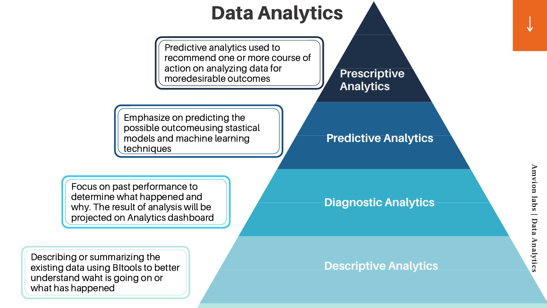# Data Analytics

Describing or summarizing the existing data using BItools to better understand waht is going on or what has happened

Focus on past performance to determine what happened and why. The result of analysis will be projected on Analytics dashboard

 $\bf \Xi$ v i o  ${\bf \Xi}$ ہ<br>ھ  $\overline{\mathbf{C}}$ s |  $\overline{\mathsf{d}}$ a<br>g  $\blacktriangleright$  $\bf \Xi$ alytic s

 $\blacktriangleright$ 

Predictive analytics used to recommend one or more course of action on analyzing data for moredesirable outcomes

Emphasize on predicting the possible outcomeusing stastical models and machine learning techniques

#### **Descriptive Analytics**

#### **Prescriptive Analytics**

#### **Predictive Analytics**

#### **Diagnostic Analytics**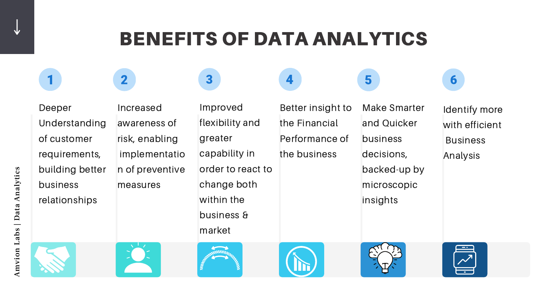Improved flexibility and greater capability in order to react to change both within the business & market

 $\overline{\mathbf{3}}$ 

Deeper Understanding of customer requirements, building better business relationships

 $\blacksquare$ 

Increased awareness of risk, enabling implementatio n of preventive measures

 $\overline{\mathbf{2}}$ 

 $\cdot$   $\blacksquare$  $\mathbf \omega$ ທ









# BENEFITS OF DATA ANALYTICS

Identify more with efficient **Business** Analysis





#### Make Smarter and Quicker business decisions, backed-up by microscopic insights

5

 $\boldsymbol{6}$ 

Better insight to the Financial Performance of the business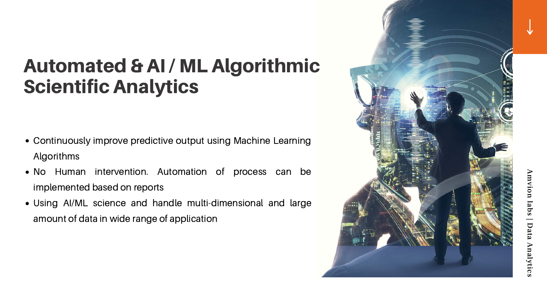# Automated & AI / ML Algorithmic **Scientific Analytics**

- Continuously improve predictive output using Machine Learning **Algorithms**
- N o Human intervention. Automation of process can be implemented based on reports
- Using AI/ML science and handle multi-dimensional and large amount of data in wide range of application



Amvion mvion labs | Data Analytics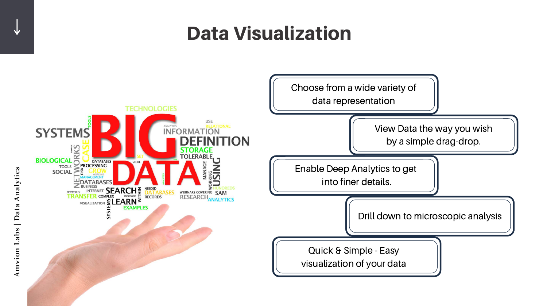



 $\blacktriangleleft$  ${\bf n}$  $\mathcal{\bar{V}}$ on $\Box$ aع s | D at $\mathbf \sigma$  $\blacktriangleleft$  $\boldsymbol{\Pi}$ al y ti  $\mathbf \omega$ 

ທ

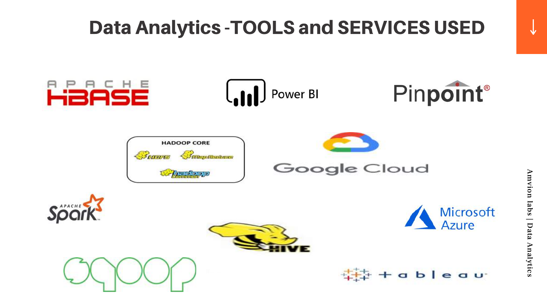# Data Analytics -TOOLS and SERVICES USED















# $\overline{\mathbf{v}}$

# Pinpoint®



#### ableau

 $\blacktriangleright$  $\bf \Xi$ v i o  $\bf \Xi$ ہ<br>ھ  $\overline{\mathbf{C}}$  $\boldsymbol{\omega}$ |  $\blacktriangledown$ a<br>a  $\blacktriangleright$  ${\bf \Xi}$ alytic s